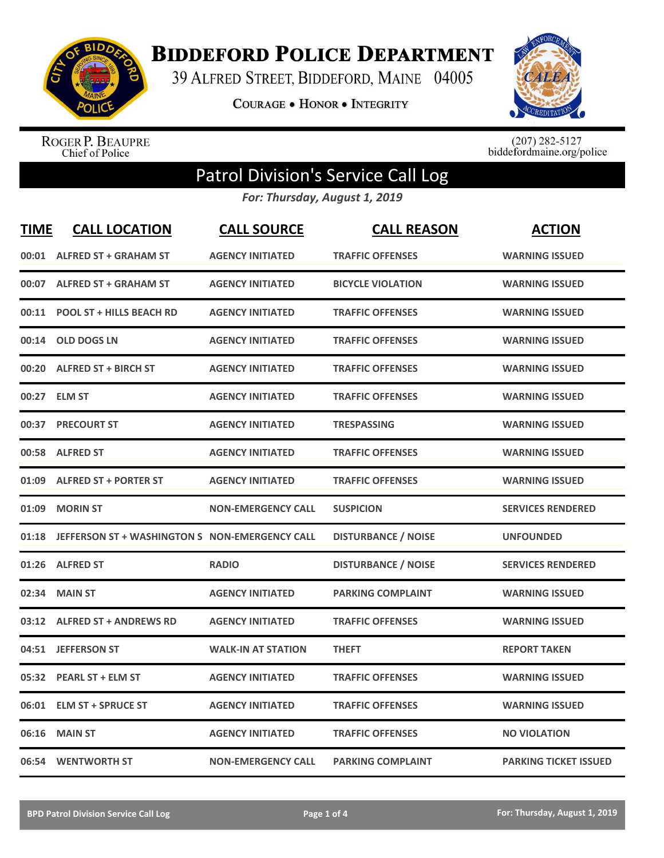

**BIDDEFORD POLICE DEPARTMENT** 

39 ALFRED STREET, BIDDEFORD, MAINE 04005

**COURAGE . HONOR . INTEGRITY** 



ROGER P. BEAUPRE<br>Chief of Police

 $(207)$  282-5127<br>biddefordmaine.org/police

## Patrol Division's Service Call Log

*For: Thursday, August 1, 2019*

| <b>TIME</b> | <b>CALL LOCATION</b>                           | <b>CALL SOURCE</b>        | <b>CALL REASON</b>         | <b>ACTION</b>                |
|-------------|------------------------------------------------|---------------------------|----------------------------|------------------------------|
| 00:01       | <b>ALFRED ST + GRAHAM ST</b>                   | <b>AGENCY INITIATED</b>   | <b>TRAFFIC OFFENSES</b>    | <b>WARNING ISSUED</b>        |
|             | 00:07 ALFRED ST + GRAHAM ST                    | <b>AGENCY INITIATED</b>   | <b>BICYCLE VIOLATION</b>   | <b>WARNING ISSUED</b>        |
| 00:11       | <b>POOL ST + HILLS BEACH RD</b>                | <b>AGENCY INITIATED</b>   | <b>TRAFFIC OFFENSES</b>    | <b>WARNING ISSUED</b>        |
| 00:14       | <b>OLD DOGS LN</b>                             | <b>AGENCY INITIATED</b>   | <b>TRAFFIC OFFENSES</b>    | <b>WARNING ISSUED</b>        |
| 00:20       | <b>ALFRED ST + BIRCH ST</b>                    | <b>AGENCY INITIATED</b>   | <b>TRAFFIC OFFENSES</b>    | <b>WARNING ISSUED</b>        |
| 00:27       | <b>ELM ST</b>                                  | <b>AGENCY INITIATED</b>   | <b>TRAFFIC OFFENSES</b>    | <b>WARNING ISSUED</b>        |
| 00:37       | <b>PRECOURT ST</b>                             | <b>AGENCY INITIATED</b>   | <b>TRESPASSING</b>         | <b>WARNING ISSUED</b>        |
| 00:58       | <b>ALFRED ST</b>                               | <b>AGENCY INITIATED</b>   | <b>TRAFFIC OFFENSES</b>    | <b>WARNING ISSUED</b>        |
| 01:09       | <b>ALFRED ST + PORTER ST</b>                   | <b>AGENCY INITIATED</b>   | <b>TRAFFIC OFFENSES</b>    | <b>WARNING ISSUED</b>        |
| 01:09       | <b>MORIN ST</b>                                | <b>NON-EMERGENCY CALL</b> | <b>SUSPICION</b>           | <b>SERVICES RENDERED</b>     |
| 01:18       | JEFFERSON ST + WASHINGTON S NON-EMERGENCY CALL |                           | <b>DISTURBANCE / NOISE</b> | <b>UNFOUNDED</b>             |
|             | 01:26 ALFRED ST                                | <b>RADIO</b>              | <b>DISTURBANCE / NOISE</b> | <b>SERVICES RENDERED</b>     |
| 02:34       | <b>MAIN ST</b>                                 | <b>AGENCY INITIATED</b>   | <b>PARKING COMPLAINT</b>   | <b>WARNING ISSUED</b>        |
| 03:12       | <b>ALFRED ST + ANDREWS RD</b>                  | <b>AGENCY INITIATED</b>   | <b>TRAFFIC OFFENSES</b>    | <b>WARNING ISSUED</b>        |
| 04:51       | <b>JEFFERSON ST</b>                            | <b>WALK-IN AT STATION</b> | <b>THEFT</b>               | <b>REPORT TAKEN</b>          |
|             | 05:32 PEARL ST + ELM ST                        | <b>AGENCY INITIATED</b>   | <b>TRAFFIC OFFENSES</b>    | <b>WARNING ISSUED</b>        |
| 06:01       | <b>ELM ST + SPRUCE ST</b>                      | <b>AGENCY INITIATED</b>   | <b>TRAFFIC OFFENSES</b>    | <b>WARNING ISSUED</b>        |
| 06:16       | <b>MAIN ST</b>                                 | <b>AGENCY INITIATED</b>   | <b>TRAFFIC OFFENSES</b>    | <b>NO VIOLATION</b>          |
|             | 06:54 WENTWORTH ST                             | <b>NON-EMERGENCY CALL</b> | <b>PARKING COMPLAINT</b>   | <b>PARKING TICKET ISSUED</b> |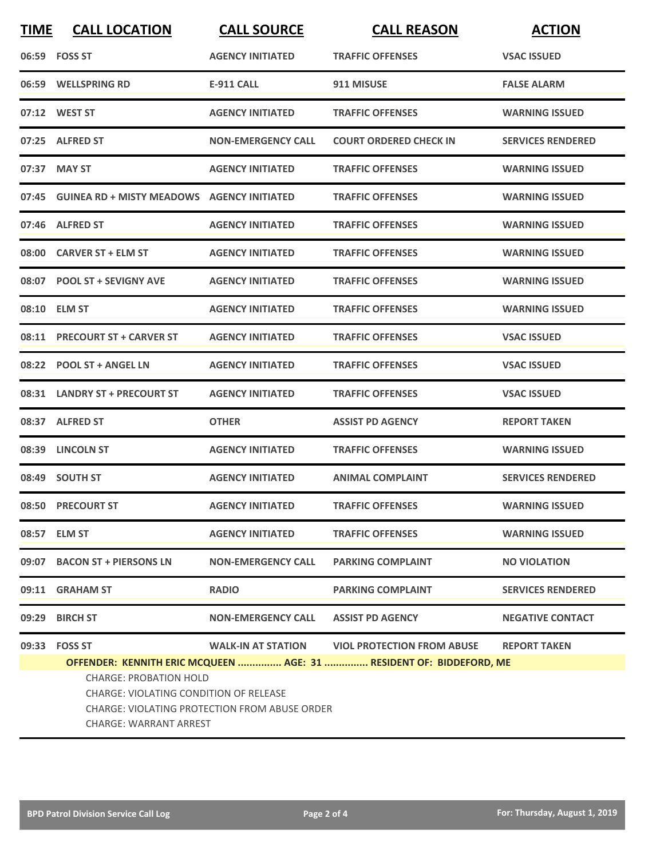| <b>TIME</b>                   | <b>CALL LOCATION</b>                                                                                                                                                                                                                                                                                             | <b>CALL SOURCE</b>        | <b>CALL REASON</b>            | <b>ACTION</b>            |  |
|-------------------------------|------------------------------------------------------------------------------------------------------------------------------------------------------------------------------------------------------------------------------------------------------------------------------------------------------------------|---------------------------|-------------------------------|--------------------------|--|
|                               | 06:59 FOSS ST                                                                                                                                                                                                                                                                                                    | <b>AGENCY INITIATED</b>   | <b>TRAFFIC OFFENSES</b>       | <b>VSAC ISSUED</b>       |  |
|                               | 06:59 WELLSPRING RD                                                                                                                                                                                                                                                                                              | <b>E-911 CALL</b>         | 911 MISUSE                    | <b>FALSE ALARM</b>       |  |
|                               | 07:12 WEST ST                                                                                                                                                                                                                                                                                                    | <b>AGENCY INITIATED</b>   | <b>TRAFFIC OFFENSES</b>       | <b>WARNING ISSUED</b>    |  |
|                               | 07:25 ALFRED ST                                                                                                                                                                                                                                                                                                  | <b>NON-EMERGENCY CALL</b> | <b>COURT ORDERED CHECK IN</b> | <b>SERVICES RENDERED</b> |  |
|                               | 07:37 MAY ST                                                                                                                                                                                                                                                                                                     | <b>AGENCY INITIATED</b>   | <b>TRAFFIC OFFENSES</b>       | <b>WARNING ISSUED</b>    |  |
|                               | 07:45 GUINEA RD + MISTY MEADOWS AGENCY INITIATED                                                                                                                                                                                                                                                                 |                           | <b>TRAFFIC OFFENSES</b>       | <b>WARNING ISSUED</b>    |  |
|                               | 07:46 ALFRED ST                                                                                                                                                                                                                                                                                                  | <b>AGENCY INITIATED</b>   | <b>TRAFFIC OFFENSES</b>       | <b>WARNING ISSUED</b>    |  |
|                               | 08:00 CARVER ST + ELM ST                                                                                                                                                                                                                                                                                         | <b>AGENCY INITIATED</b>   | <b>TRAFFIC OFFENSES</b>       | <b>WARNING ISSUED</b>    |  |
|                               | 08:07 POOL ST + SEVIGNY AVE                                                                                                                                                                                                                                                                                      | <b>AGENCY INITIATED</b>   | <b>TRAFFIC OFFENSES</b>       | <b>WARNING ISSUED</b>    |  |
|                               | 08:10 ELM ST                                                                                                                                                                                                                                                                                                     | <b>AGENCY INITIATED</b>   | <b>TRAFFIC OFFENSES</b>       | <b>WARNING ISSUED</b>    |  |
|                               | 08:11 PRECOURT ST + CARVER ST                                                                                                                                                                                                                                                                                    | <b>AGENCY INITIATED</b>   | <b>TRAFFIC OFFENSES</b>       | <b>VSAC ISSUED</b>       |  |
|                               | 08:22 POOL ST + ANGEL LN                                                                                                                                                                                                                                                                                         | <b>AGENCY INITIATED</b>   | <b>TRAFFIC OFFENSES</b>       | <b>VSAC ISSUED</b>       |  |
|                               | 08:31 LANDRY ST + PRECOURT ST                                                                                                                                                                                                                                                                                    | <b>AGENCY INITIATED</b>   | <b>TRAFFIC OFFENSES</b>       | <b>VSAC ISSUED</b>       |  |
|                               | 08:37 ALFRED ST                                                                                                                                                                                                                                                                                                  | <b>OTHER</b>              | <b>ASSIST PD AGENCY</b>       | <b>REPORT TAKEN</b>      |  |
|                               | 08:39 LINCOLN ST                                                                                                                                                                                                                                                                                                 | <b>AGENCY INITIATED</b>   | <b>TRAFFIC OFFENSES</b>       | <b>WARNING ISSUED</b>    |  |
|                               | 08:49 SOUTH ST                                                                                                                                                                                                                                                                                                   | <b>AGENCY INITIATED</b>   | <b>ANIMAL COMPLAINT</b>       | <b>SERVICES RENDERED</b> |  |
|                               | 08:50 PRECOURT ST                                                                                                                                                                                                                                                                                                | <b>AGENCY INITIATED</b>   | <b>TRAFFIC OFFENSES</b>       | <b>WARNING ISSUED</b>    |  |
|                               | 08:57 ELM ST                                                                                                                                                                                                                                                                                                     | <b>AGENCY INITIATED</b>   | <b>TRAFFIC OFFENSES</b>       | <b>WARNING ISSUED</b>    |  |
|                               | 09:07 BACON ST + PIERSONS LN                                                                                                                                                                                                                                                                                     | <b>NON-EMERGENCY CALL</b> | <b>PARKING COMPLAINT</b>      | <b>NO VIOLATION</b>      |  |
|                               | 09:11 GRAHAM ST                                                                                                                                                                                                                                                                                                  | <b>RADIO</b>              | <b>PARKING COMPLAINT</b>      | <b>SERVICES RENDERED</b> |  |
|                               | 09:29 BIRCH ST                                                                                                                                                                                                                                                                                                   | <b>NON-EMERGENCY CALL</b> | <b>ASSIST PD AGENCY</b>       | <b>NEGATIVE CONTACT</b>  |  |
|                               | 09:33 FOSS ST<br><b>WALK-IN AT STATION</b><br><b>VIOL PROTECTION FROM ABUSE</b><br><b>REPORT TAKEN</b><br>OFFENDER: KENNITH ERIC MCQUEEN  AGE: 31  RESIDENT OF: BIDDEFORD, ME<br><b>CHARGE: PROBATION HOLD</b><br><b>CHARGE: VIOLATING CONDITION OF RELEASE</b><br>CHARGE: VIOLATING PROTECTION FROM ABUSE ORDER |                           |                               |                          |  |
| <b>CHARGE: WARRANT ARREST</b> |                                                                                                                                                                                                                                                                                                                  |                           |                               |                          |  |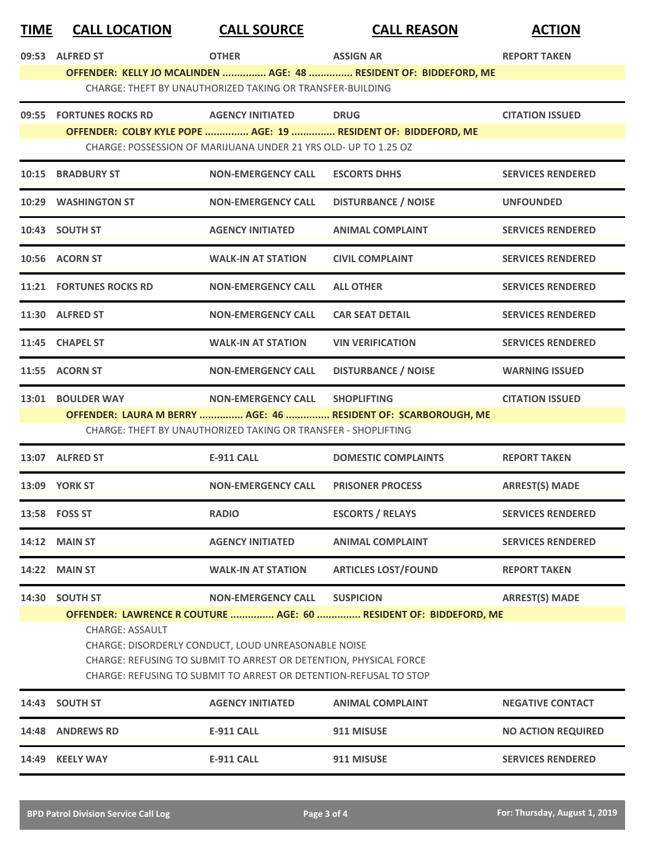| <b>TIME</b> | <b>CALL LOCATION</b>                                      | <b>CALL SOURCE</b>                                                | <b>CALL REASON</b>                                                | <b>ACTION</b>             |  |  |
|-------------|-----------------------------------------------------------|-------------------------------------------------------------------|-------------------------------------------------------------------|---------------------------|--|--|
|             | 09:53 ALFRED ST                                           | <b>OTHER</b>                                                      | <b>ASSIGN AR</b>                                                  | <b>REPORT TAKEN</b>       |  |  |
|             |                                                           |                                                                   | OFFENDER: KELLY JO MCALINDEN  AGE: 48  RESIDENT OF: BIDDEFORD, ME |                           |  |  |
|             | CHARGE: THEFT BY UNAUTHORIZED TAKING OR TRANSFER-BUILDING |                                                                   |                                                                   |                           |  |  |
|             | 09:55 FORTUNES ROCKS RD                                   | <b>AGENCY INITIATED</b>                                           | <b>DRUG</b>                                                       | <b>CITATION ISSUED</b>    |  |  |
|             |                                                           | CHARGE: POSSESSION OF MARIJUANA UNDER 21 YRS OLD- UP TO 1.25 OZ   | OFFENDER: COLBY KYLE POPE  AGE: 19  RESIDENT OF: BIDDEFORD, ME    |                           |  |  |
|             | 10:15 BRADBURY ST                                         | <b>NON-EMERGENCY CALL</b>                                         | <b>ESCORTS DHHS</b>                                               | <b>SERVICES RENDERED</b>  |  |  |
|             | 10:29 WASHINGTON ST                                       | <b>NON-EMERGENCY CALL</b>                                         | <b>DISTURBANCE / NOISE</b>                                        | <b>UNFOUNDED</b>          |  |  |
|             | 10:43 SOUTH ST                                            | <b>AGENCY INITIATED</b>                                           | <b>ANIMAL COMPLAINT</b>                                           | <b>SERVICES RENDERED</b>  |  |  |
|             | 10:56 ACORN ST                                            | <b>WALK-IN AT STATION</b>                                         | <b>CIVIL COMPLAINT</b>                                            | <b>SERVICES RENDERED</b>  |  |  |
|             | <b>11:21 FORTUNES ROCKS RD</b>                            | <b>NON-EMERGENCY CALL</b>                                         | <b>ALL OTHER</b>                                                  | <b>SERVICES RENDERED</b>  |  |  |
|             | 11:30 ALFRED ST                                           | <b>NON-EMERGENCY CALL</b>                                         | <b>CAR SEAT DETAIL</b>                                            | <b>SERVICES RENDERED</b>  |  |  |
|             | 11:45 CHAPEL ST                                           | <b>WALK-IN AT STATION</b>                                         | <b>VIN VERIFICATION</b>                                           | <b>SERVICES RENDERED</b>  |  |  |
|             | 11:55 ACORN ST                                            | <b>NON-EMERGENCY CALL</b>                                         | <b>DISTURBANCE / NOISE</b>                                        | <b>WARNING ISSUED</b>     |  |  |
| 13:01       | <b>BOULDER WAY</b>                                        | NON-EMERGENCY CALL SHOPLIFTING                                    |                                                                   | <b>CITATION ISSUED</b>    |  |  |
|             |                                                           | CHARGE: THEFT BY UNAUTHORIZED TAKING OR TRANSFER - SHOPLIFTING    | OFFENDER: LAURA M BERRY  AGE: 46  RESIDENT OF: SCARBOROUGH, ME    |                           |  |  |
|             | 13:07 ALFRED ST                                           | <b>E-911 CALL</b>                                                 | <b>DOMESTIC COMPLAINTS</b>                                        | <b>REPORT TAKEN</b>       |  |  |
|             | <b>13:09 YORK ST</b>                                      | <b>NON-EMERGENCY CALL</b>                                         | <b>PRISONER PROCESS</b>                                           | <b>ARREST(S) MADE</b>     |  |  |
|             | 13:58 FOSS ST                                             | <b>RADIO</b>                                                      | <b>ESCORTS / RELAYS</b>                                           | <b>SERVICES RENDERED</b>  |  |  |
|             | <b>14:12 MAIN ST</b>                                      | <b>AGENCY INITIATED</b>                                           | <b>ANIMAL COMPLAINT</b>                                           | <b>SERVICES RENDERED</b>  |  |  |
| 14:22       | <b>MAIN ST</b>                                            | <b>WALK-IN AT STATION</b>                                         | <b>ARTICLES LOST/FOUND</b>                                        | <b>REPORT TAKEN</b>       |  |  |
|             | 14:30 SOUTH ST                                            | <b>NON-EMERGENCY CALL</b>                                         | <b>SUSPICION</b>                                                  | <b>ARREST(S) MADE</b>     |  |  |
|             | <b>CHARGE: ASSAULT</b>                                    |                                                                   | OFFENDER: LAWRENCE R COUTURE  AGE: 60  RESIDENT OF: BIDDEFORD, ME |                           |  |  |
|             |                                                           | CHARGE: DISORDERLY CONDUCT, LOUD UNREASONABLE NOISE               |                                                                   |                           |  |  |
|             |                                                           | CHARGE: REFUSING TO SUBMIT TO ARREST OR DETENTION, PHYSICAL FORCE |                                                                   |                           |  |  |
|             |                                                           | CHARGE: REFUSING TO SUBMIT TO ARREST OR DETENTION-REFUSAL TO STOP |                                                                   |                           |  |  |
|             | 14:43 SOUTH ST                                            | <b>AGENCY INITIATED</b>                                           | <b>ANIMAL COMPLAINT</b>                                           | <b>NEGATIVE CONTACT</b>   |  |  |
| 14:48       | <b>ANDREWS RD</b>                                         | <b>E-911 CALL</b>                                                 | 911 MISUSE                                                        | <b>NO ACTION REQUIRED</b> |  |  |
|             | 14:49 KEELY WAY                                           | <b>E-911 CALL</b>                                                 | 911 MISUSE                                                        | <b>SERVICES RENDERED</b>  |  |  |